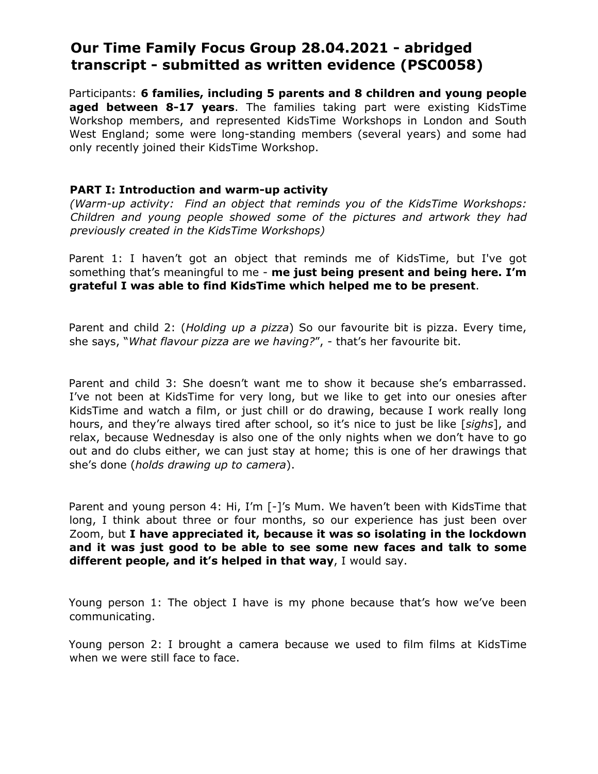# **Our Time Family Focus Group 28.04.2021 - abridged transcript - submitted as written evidence (PSC0058)**

Participants: **6 families, including 5 parents and 8 children and young people aged between 8-17 years**. The families taking part were existing KidsTime Workshop members, and represented KidsTime Workshops in London and South West England; some were long-standing members (several years) and some had only recently joined their KidsTime Workshop.

#### **PART I: Introduction and warm-up activity**

*(Warm-up activity: Find an object that reminds you of the KidsTime Workshops: Children and young people showed some of the pictures and artwork they had previously created in the KidsTime Workshops)*

Parent 1: I haven't got an object that reminds me of KidsTime, but I've got something that's meaningful to me - **me just being present and being here. I'm grateful I was able to find KidsTime which helped me to be present**.

Parent and child 2: (*Holding up a pizza*) So our favourite bit is pizza. Every time, she says, "*What flavour pizza are we having?*", - that's her favourite bit.

Parent and child 3: She doesn't want me to show it because she's embarrassed. I've not been at KidsTime for very long, but we like to get into our onesies after KidsTime and watch a film, or just chill or do drawing, because I work really long hours, and they're always tired after school, so it's nice to just be like [*sighs*], and relax, because Wednesday is also one of the only nights when we don't have to go out and do clubs either, we can just stay at home; this is one of her drawings that she's done (*holds drawing up to camera*).

Parent and young person 4: Hi, I'm [-]'s Mum. We haven't been with KidsTime that long, I think about three or four months, so our experience has just been over Zoom, but **I have appreciated it, because it was so isolating in the lockdown and it was just good to be able to see some new faces and talk to some different people, and it's helped in that way**, I would say.

Young person 1: The object I have is my phone because that's how we've been communicating.

Young person 2: I brought a camera because we used to film films at KidsTime when we were still face to face.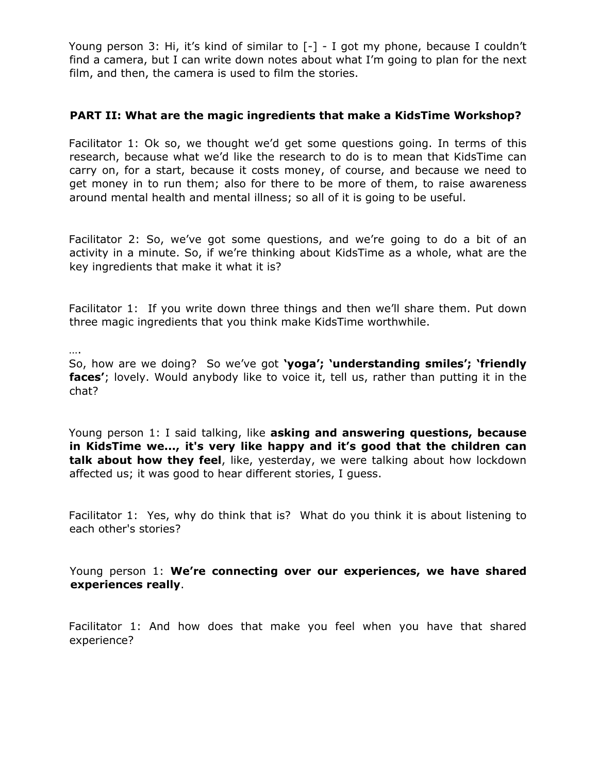Young person 3: Hi, it's kind of similar to  $[-]$  - I got my phone, because I couldn't find a camera, but I can write down notes about what I'm going to plan for the next film, and then, the camera is used to film the stories.

# **PART II: What are the magic ingredients that make a KidsTime Workshop?**

Facilitator 1: Ok so, we thought we'd get some questions going. In terms of this research, because what we'd like the research to do is to mean that KidsTime can carry on, for a start, because it costs money, of course, and because we need to get money in to run them; also for there to be more of them, to raise awareness around mental health and mental illness; so all of it is going to be useful.

Facilitator 2: So, we've got some questions, and we're going to do a bit of an activity in a minute. So, if we're thinking about KidsTime as a whole, what are the key ingredients that make it what it is?

Facilitator 1: If you write down three things and then we'll share them. Put down three magic ingredients that you think make KidsTime worthwhile.

….

So, how are we doing? So we've got **'yoga'; 'understanding smiles'; 'friendly faces'**; lovely. Would anybody like to voice it, tell us, rather than putting it in the chat?

Young person 1: I said talking, like **asking and answering questions, because in KidsTime we..., it's very like happy and it's good that the children can talk about how they feel**, like, yesterday, we were talking about how lockdown affected us; it was good to hear different stories, I guess.

Facilitator 1: Yes, why do think that is? What do you think it is about listening to each other's stories?

Young person 1: **We're connecting over our experiences, we have shared experiences really**.

Facilitator 1: And how does that make you feel when you have that shared experience?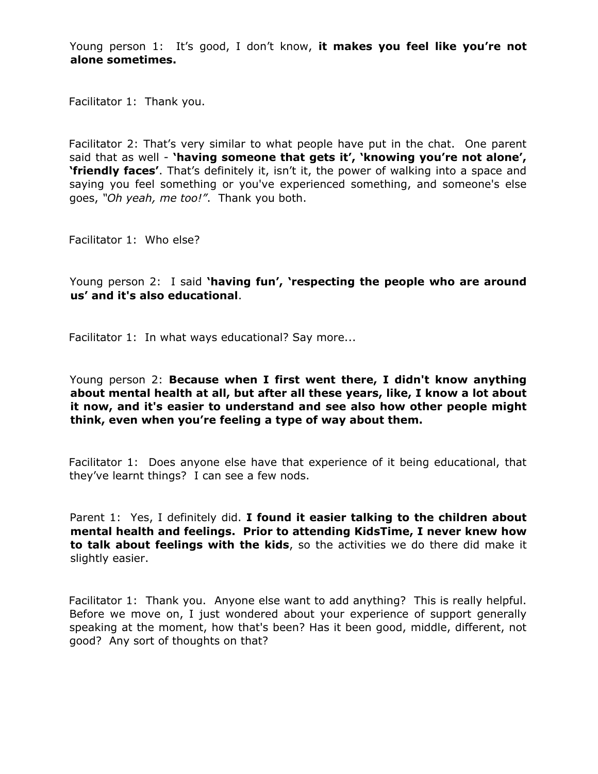Young person 1: It's good, I don't know, **it makes you feel like you're not alone sometimes.**

Facilitator 1: Thank you.

Facilitator 2: That's very similar to what people have put in the chat. One parent said that as well - **'having someone that gets it', 'knowing you're not alone', 'friendly faces'**. That's definitely it, isn't it, the power of walking into a space and saying you feel something or you've experienced something, and someone's else goes, *"Oh yeah, me too!"*. Thank you both.

Facilitator 1: Who else?

Young person 2: I said **'having fun', 'respecting the people who are around us' and it's also educational**.

Facilitator 1: In what ways educational? Say more...

Young person 2: **Because when I first went there, I didn't know anything about mental health at all, but after all these years, like, I know a lot about it now, and it's easier to understand and see also how other people might think, even when you're feeling a type of way about them.**

Facilitator 1: Does anyone else have that experience of it being educational, that they've learnt things? I can see a few nods.

Parent 1: Yes, I definitely did. **I found it easier talking to the children about mental health and feelings. Prior to attending KidsTime, I never knew how to talk about feelings with the kids**, so the activities we do there did make it slightly easier.

Facilitator 1: Thank you. Anyone else want to add anything? This is really helpful. Before we move on, I just wondered about your experience of support generally speaking at the moment, how that's been? Has it been good, middle, different, not good? Any sort of thoughts on that?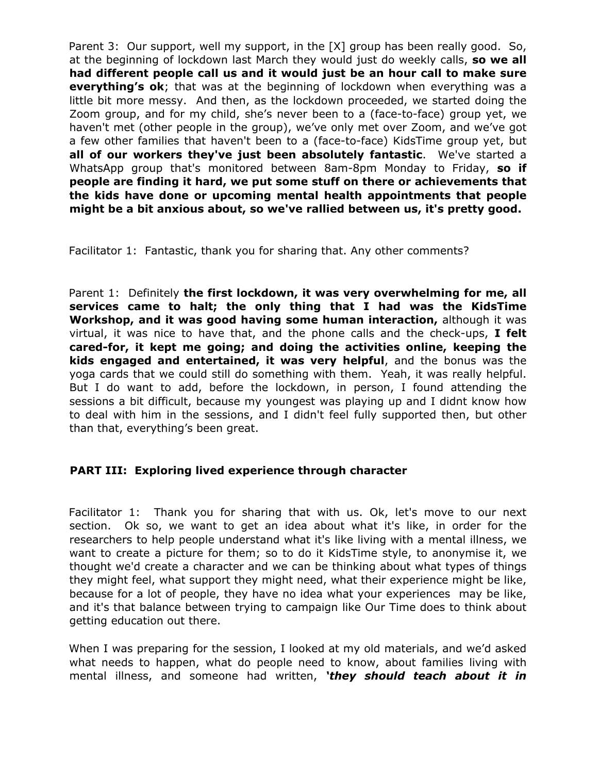Parent 3: Our support, well my support, in the [X] group has been really good. So, at the beginning of lockdown last March they would just do weekly calls, **so we all had different people call us and it would just be an hour call to make sure everything's ok**; that was at the beginning of lockdown when everything was a little bit more messy. And then, as the lockdown proceeded, we started doing the Zoom group, and for my child, she's never been to a (face-to-face) group yet, we haven't met (other people in the group), we've only met over Zoom, and we've got a few other families that haven't been to a (face-to-face) KidsTime group yet, but **all of our workers they've just been absolutely fantastic**. We've started a WhatsApp group that's monitored between 8am-8pm Monday to Friday, **so if people are finding it hard, we put some stuff on there or achievements that the kids have done or upcoming mental health appointments that people might be a bit anxious about, so we've rallied between us, it's pretty good.**

Facilitator 1: Fantastic, thank you for sharing that. Any other comments?

Parent 1: Definitely **the first lockdown, it was very overwhelming for me, all services came to halt; the only thing that I had was the KidsTime Workshop, and it was good having some human interaction,** although it was virtual, it was nice to have that, and the phone calls and the check-ups, **I felt cared-for, it kept me going; and doing the activities online, keeping the kids engaged and entertained, it was very helpful**, and the bonus was the yoga cards that we could still do something with them. Yeah, it was really helpful. But I do want to add, before the lockdown, in person, I found attending the sessions a bit difficult, because my youngest was playing up and I didnt know how to deal with him in the sessions, and I didn't feel fully supported then, but other than that, everything's been great.

# **PART III: Exploring lived experience through character**

Facilitator 1: Thank you for sharing that with us. Ok, let's move to our next section. Ok so, we want to get an idea about what it's like, in order for the researchers to help people understand what it's like living with a mental illness, we want to create a picture for them; so to do it KidsTime style, to anonymise it, we thought we'd create a character and we can be thinking about what types of things they might feel, what support they might need, what their experience might be like, because for a lot of people, they have no idea what your experiences may be like, and it's that balance between trying to campaign like Our Time does to think about getting education out there.

When I was preparing for the session, I looked at my old materials, and we'd asked what needs to happen, what do people need to know, about families living with mental illness, and someone had written, *'they should teach about it in*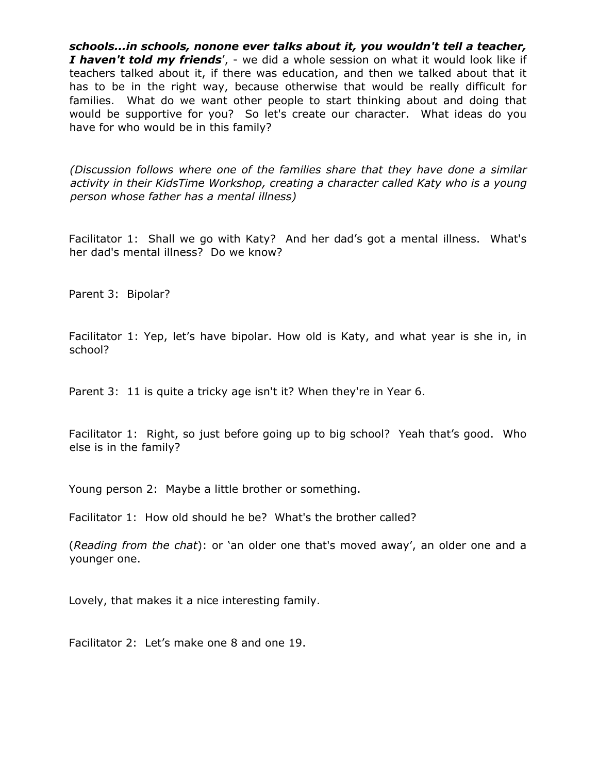*schools...in schools, nonone ever talks about it, you wouldn't tell a teacher, I haven't told my friends*', - we did a whole session on what it would look like if teachers talked about it, if there was education, and then we talked about that it has to be in the right way, because otherwise that would be really difficult for families. What do we want other people to start thinking about and doing that would be supportive for you? So let's create our character. What ideas do you have for who would be in this family?

*(Discussion follows where one of the families share that they have done a similar activity in their KidsTime Workshop, creating a character called Katy who is a young person whose father has a mental illness)*

Facilitator 1: Shall we go with Katy? And her dad's got a mental illness. What's her dad's mental illness? Do we know?

Parent 3: Bipolar?

Facilitator 1: Yep, let's have bipolar. How old is Katy, and what year is she in, in school?

Parent 3: 11 is quite a tricky age isn't it? When they're in Year 6.

Facilitator 1: Right, so just before going up to big school? Yeah that's good. Who else is in the family?

Young person 2: Maybe a little brother or something.

Facilitator 1: How old should he be? What's the brother called?

(*Reading from the chat*): or 'an older one that's moved away', an older one and a younger one.

Lovely, that makes it a nice interesting family.

Facilitator 2: Let's make one 8 and one 19.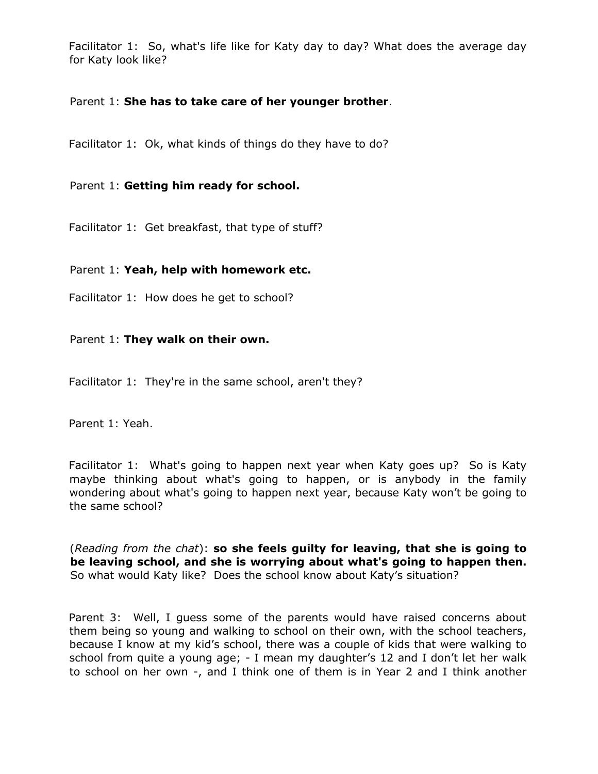Facilitator 1: So, what's life like for Katy day to day? What does the average day for Katy look like?

# Parent 1: **She has to take care of her younger brother**.

Facilitator 1: Ok, what kinds of things do they have to do?

# Parent 1: **Getting him ready for school.**

Facilitator 1: Get breakfast, that type of stuff?

# Parent 1: **Yeah, help with homework etc.**

Facilitator 1: How does he get to school?

#### Parent 1: **They walk on their own.**

Facilitator 1: They're in the same school, aren't they?

Parent 1: Yeah.

Facilitator 1: What's going to happen next year when Katy goes up? So is Katy maybe thinking about what's going to happen, or is anybody in the family wondering about what's going to happen next year, because Katy won't be going to the same school?

(*Reading from the chat*): **so she feels guilty for leaving, that she is going to be leaving school, and she is worrying about what's going to happen then.** So what would Katy like? Does the school know about Katy's situation?

Parent 3: Well, I guess some of the parents would have raised concerns about them being so young and walking to school on their own, with the school teachers, because I know at my kid's school, there was a couple of kids that were walking to school from quite a young age; - I mean my daughter's 12 and I don't let her walk to school on her own -, and I think one of them is in Year 2 and I think another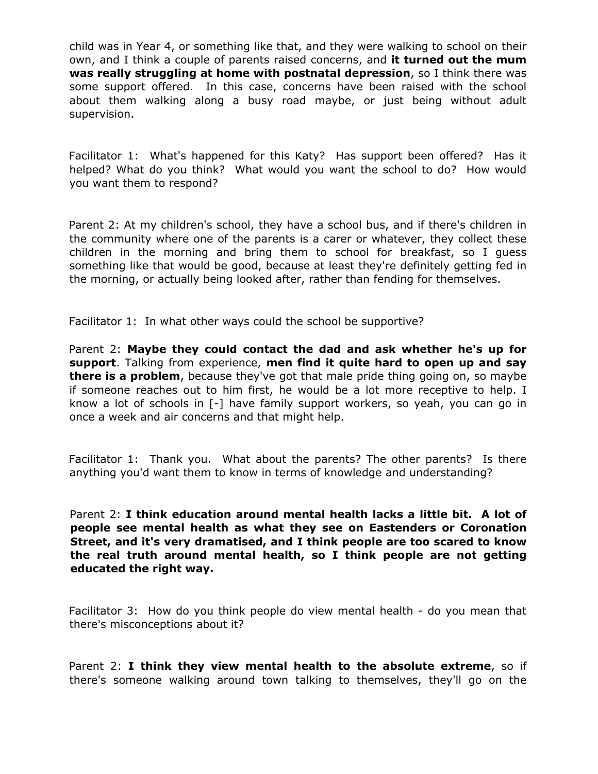child was in Year 4, or something like that, and they were walking to school on their own, and I think a couple of parents raised concerns, and **it turned out the mum was really struggling at home with postnatal depression**, so I think there was some support offered. In this case, concerns have been raised with the school about them walking along a busy road maybe, or just being without adult supervision.

Facilitator 1: What's happened for this Katy? Has support been offered? Has it helped? What do you think? What would you want the school to do? How would you want them to respond?

Parent 2: At my children's school, they have a school bus, and if there's children in the community where one of the parents is a carer or whatever, they collect these children in the morning and bring them to school for breakfast, so I guess something like that would be good, because at least they're definitely getting fed in the morning, or actually being looked after, rather than fending for themselves.

Facilitator 1: In what other ways could the school be supportive?

Parent 2: **Maybe they could contact the dad and ask whether he's up for support**. Talking from experience, **men find it quite hard to open up and say there is a problem**, because they've got that male pride thing going on, so maybe if someone reaches out to him first, he would be a lot more receptive to help. I know a lot of schools in [-] have family support workers, so yeah, you can go in once a week and air concerns and that might help.

Facilitator 1: Thank you. What about the parents? The other parents? Is there anything you'd want them to know in terms of knowledge and understanding?

Parent 2: **I think education around mental health lacks a little bit. A lot of people see mental health as what they see on Eastenders or Coronation Street, and it's very dramatised, and I think people are too scared to know the real truth around mental health, so I think people are not getting educated the right way.**

Facilitator 3: How do you think people do view mental health - do you mean that there's misconceptions about it?

Parent 2: **I think they view mental health to the absolute extreme**, so if there's someone walking around town talking to themselves, they'll go on the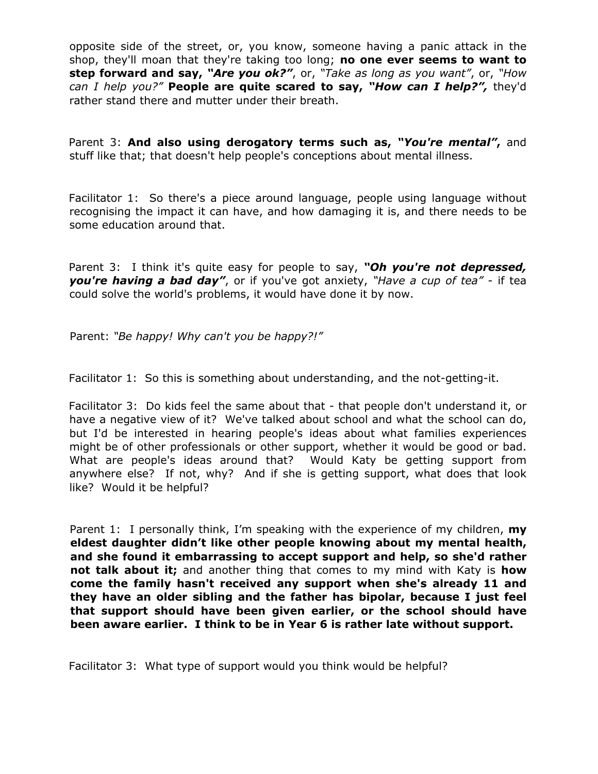opposite side of the street, or, you know, someone having a panic attack in the shop, they'll moan that they're taking too long; **no one ever seems to want to step forward and say,** *"Are you ok?"*, or, *"Take as long as you want"*, or, *"How can I help you?"* **People are quite scared to say,** *"How can I help?",* they'd rather stand there and mutter under their breath.

Parent 3: **And also using derogatory terms such as,** *"You're mental"***,** and stuff like that; that doesn't help people's conceptions about mental illness.

Facilitator 1: So there's a piece around language, people using language without recognising the impact it can have, and how damaging it is, and there needs to be some education around that.

Parent 3: I think it's quite easy for people to say, *"Oh you're not depressed, you're having a bad day"*, or if you've got anxiety, *"Have a cup of tea"* - if tea could solve the world's problems, it would have done it by now.

Parent: *"Be happy! Why can't you be happy?!"*

Facilitator 1: So this is something about understanding, and the not-getting-it.

Facilitator 3: Do kids feel the same about that - that people don't understand it, or have a negative view of it? We've talked about school and what the school can do, but I'd be interested in hearing people's ideas about what families experiences might be of other professionals or other support, whether it would be good or bad. What are people's ideas around that? Would Katy be getting support from anywhere else? If not, why? And if she is getting support, what does that look like? Would it be helpful?

Parent 1: I personally think, I'm speaking with the experience of my children, **my eldest daughter didn't like other people knowing about my mental health, and she found it embarrassing to accept support and help, so she'd rather not talk about it;** and another thing that comes to my mind with Katy is **how come the family hasn't received any support when she's already 11 and they have an older sibling and the father has bipolar, because I just feel that support should have been given earlier, or the school should have been aware earlier. I think to be in Year 6 is rather late without support.**

Facilitator 3: What type of support would you think would be helpful?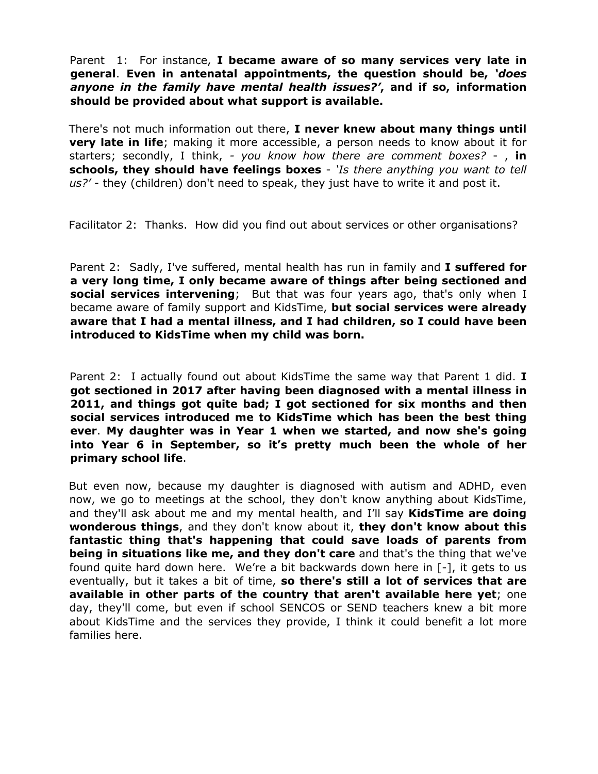Parent 1: For instance, **I became aware of so many services very late in general**. **Even in antenatal appointments, the question should be,** *'does anyone in the family have mental health issues?'***, and if so, information should be provided about what support is available.**

There's not much information out there, **I never knew about many things until very late in life**; making it more accessible, a person needs to know about it for starters; secondly, I think, *- you know how there are comment boxes?* - , **in schools, they should have feelings boxes** - *'Is there anything you want to tell us?'* - they (children) don't need to speak, they just have to write it and post it.

Facilitator 2: Thanks. How did you find out about services or other organisations?

Parent 2: Sadly, I've suffered, mental health has run in family and **I suffered for a very long time, I only became aware of things after being sectioned and social services intervening**; But that was four years ago, that's only when I became aware of family support and KidsTime, **but social services were already aware that I had a mental illness, and I had children, so I could have been introduced to KidsTime when my child was born.**

Parent 2: I actually found out about KidsTime the same way that Parent 1 did. **I got sectioned in 2017 after having been diagnosed with a mental illness in 2011, and things got quite bad; I got sectioned for six months and then social services introduced me to KidsTime which has been the best thing ever**. **My daughter was in Year 1 when we started, and now she's going into Year 6 in September, so it's pretty much been the whole of her primary school life**.

But even now, because my daughter is diagnosed with autism and ADHD, even now, we go to meetings at the school, they don't know anything about KidsTime, and they'll ask about me and my mental health, and I'll say **KidsTime are doing wonderous things**, and they don't know about it, **they don't know about this fantastic thing that's happening that could save loads of parents from being in situations like me, and they don't care** and that's the thing that we've found quite hard down here. We're a bit backwards down here in [-], it gets to us eventually, but it takes a bit of time, **so there's still a lot of services that are available in other parts of the country that aren't available here yet**; one day, they'll come, but even if school SENCOS or SEND teachers knew a bit more about KidsTime and the services they provide, I think it could benefit a lot more families here.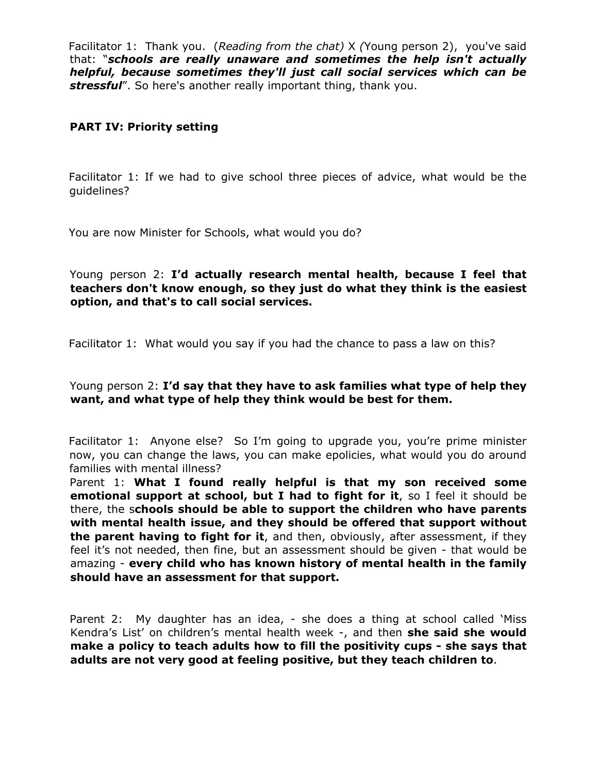Facilitator 1: Thank you. (*Reading from the chat)* X *(*Young person 2), you've said that: "*schools are really unaware and sometimes the help isn't actually helpful, because sometimes they'll just call social services which can be stressful*". So here's another really important thing, thank you.

#### **PART IV: Priority setting**

Facilitator 1: If we had to give school three pieces of advice, what would be the guidelines?

You are now Minister for Schools, what would you do?

Young person 2: **I'd actually research mental health, because I feel that teachers don't know enough, so they just do what they think is the easiest option, and that's to call social services.**

Facilitator 1: What would you say if you had the chance to pass a law on this?

#### Young person 2: **I'd say that they have to ask families what type of help they want, and what type of help they think would be best for them.**

Facilitator 1: Anyone else? So I'm going to upgrade you, you're prime minister now, you can change the laws, you can make epolicies, what would you do around families with mental illness?

Parent 1: **What I found really helpful is that my son received some emotional support at school, but I had to fight for it**, so I feel it should be there, the s**chools should be able to support the children who have parents with mental health issue, and they should be offered that support without the parent having to fight for it**, and then, obviously, after assessment, if they feel it's not needed, then fine, but an assessment should be given - that would be amazing - **every child who has known history of mental health in the family should have an assessment for that support.**

Parent 2: My daughter has an idea, - she does a thing at school called 'Miss Kendra's List' on children's mental health week -, and then **she said she would make a policy to teach adults how to fill the positivity cups - she says that adults are not very good at feeling positive, but they teach children to**.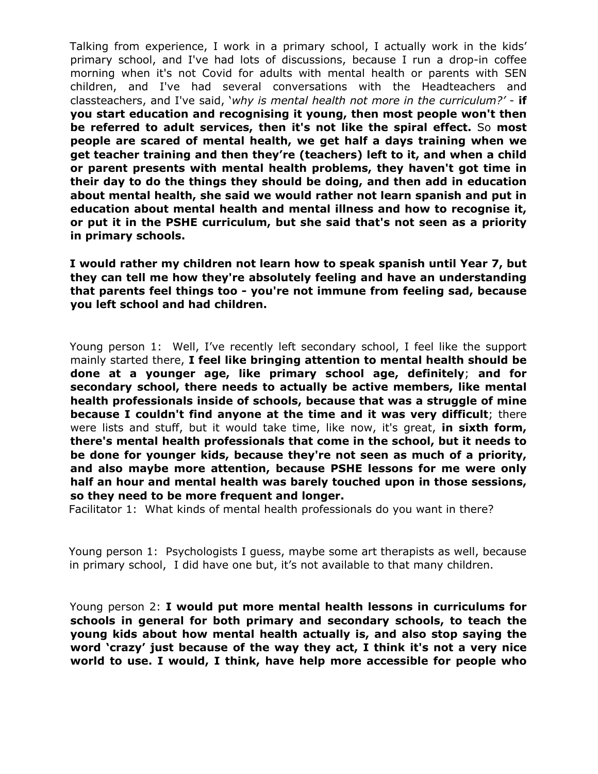Talking from experience, I work in a primary school, I actually work in the kids' primary school, and I've had lots of discussions, because I run a drop-in coffee morning when it's not Covid for adults with mental health or parents with SEN children, and I've had several conversations with the Headteachers and classteachers, and I've said, '*why is mental health not more in the curriculum?'* - **if you start education and recognising it young, then most people won't then be referred to adult services, then it's not like the spiral effect.** So **most people are scared of mental health, we get half a days training when we get teacher training and then they're (teachers) left to it, and when a child or parent presents with mental health problems, they haven't got time in their day to do the things they should be doing, and then add in education about mental health, she said we would rather not learn spanish and put in education about mental health and mental illness and how to recognise it, or put it in the PSHE curriculum, but she said that's not seen as a priority in primary schools.**

**I would rather my children not learn how to speak spanish until Year 7, but they can tell me how they're absolutely feeling and have an understanding that parents feel things too - you're not immune from feeling sad, because you left school and had children.**

Young person 1: Well, I've recently left secondary school, I feel like the support mainly started there, **I feel like bringing attention to mental health should be done at a younger age, like primary school age, definitely**; **and for secondary school, there needs to actually be active members, like mental health professionals inside of schools, because that was a struggle of mine because I couldn't find anyone at the time and it was very difficult**; there were lists and stuff, but it would take time, like now, it's great, **in sixth form, there's mental health professionals that come in the school, but it needs to be done for younger kids, because they're not seen as much of a priority, and also maybe more attention, because PSHE lessons for me were only half an hour and mental health was barely touched upon in those sessions, so they need to be more frequent and longer.**

Facilitator 1: What kinds of mental health professionals do you want in there?

Young person 1: Psychologists I guess, maybe some art therapists as well, because in primary school, I did have one but, it's not available to that many children.

Young person 2: **I would put more mental health lessons in curriculums for schools in general for both primary and secondary schools, to teach the young kids about how mental health actually is, and also stop saying the word 'crazy' just because of the way they act, I think it's not a very nice world to use. I would, I think, have help more accessible for people who**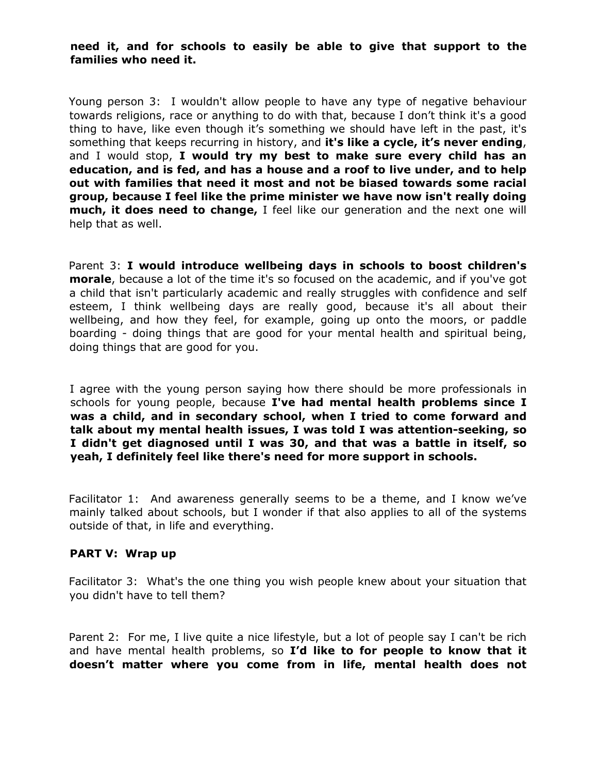### **need it, and for schools to easily be able to give that support to the families who need it.**

Young person 3: I wouldn't allow people to have any type of negative behaviour towards religions, race or anything to do with that, because I don't think it's a good thing to have, like even though it's something we should have left in the past, it's something that keeps recurring in history, and **it's like a cycle, it's never ending**, and I would stop, **I would try my best to make sure every child has an education, and is fed, and has a house and a roof to live under, and to help out with families that need it most and not be biased towards some racial group, because I feel like the prime minister we have now isn't really doing much, it does need to change,** I feel like our generation and the next one will help that as well.

Parent 3: **I would introduce wellbeing days in schools to boost children's morale**, because a lot of the time it's so focused on the academic, and if you've got a child that isn't particularly academic and really struggles with confidence and self esteem, I think wellbeing days are really good, because it's all about their wellbeing, and how they feel, for example, going up onto the moors, or paddle boarding - doing things that are good for your mental health and spiritual being, doing things that are good for you.

I agree with the young person saying how there should be more professionals in schools for young people, because **I've had mental health problems since I was a child, and in secondary school, when I tried to come forward and talk about my mental health issues, I was told I was attention-seeking, so I didn't get diagnosed until I was 30, and that was a battle in itself, so yeah, I definitely feel like there's need for more support in schools.**

Facilitator 1: And awareness generally seems to be a theme, and I know we've mainly talked about schools, but I wonder if that also applies to all of the systems outside of that, in life and everything.

#### **PART V: Wrap up**

Facilitator 3: What's the one thing you wish people knew about your situation that you didn't have to tell them?

Parent 2: For me, I live quite a nice lifestyle, but a lot of people say I can't be rich and have mental health problems, so **I'd like to for people to know that it doesn't matter where you come from in life, mental health does not**